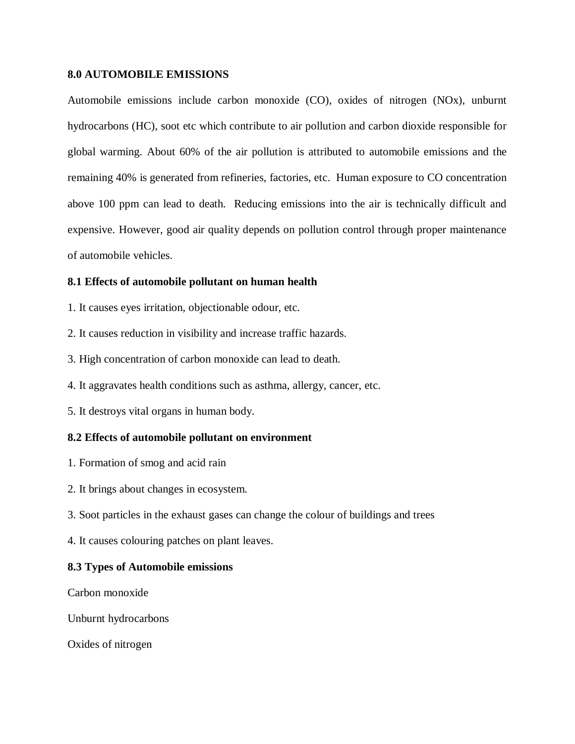## **8.0 AUTOMOBILE EMISSIONS**

Automobile emissions include carbon monoxide (CO), oxides of nitrogen (NOx), unburnt hydrocarbons (HC), soot etc which contribute to air pollution and carbon dioxide responsible for global warming. About 60% of the air pollution is attributed to automobile emissions and the remaining 40% is generated from refineries, factories, etc. Human exposure to CO concentration above 100 ppm can lead to death. Reducing emissions into the air is technically difficult and expensive. However, good air quality depends on pollution control through proper maintenance of automobile vehicles.

# **8.1 Effects of automobile pollutant on human health**

- 1. It causes eyes irritation, objectionable odour, etc.
- 2. It causes reduction in visibility and increase traffic hazards.
- 3. High concentration of carbon monoxide can lead to death.
- 4. It aggravates health conditions such as asthma, allergy, cancer, etc.
- 5. It destroys vital organs in human body.

## **8.2 Effects of automobile pollutant on environment**

- 1. Formation of smog and acid rain
- 2. It brings about changes in ecosystem.
- 3. Soot particles in the exhaust gases can change the colour of buildings and trees
- 4. It causes colouring patches on plant leaves.

## **8.3 Types of Automobile emissions**

Carbon monoxide

Unburnt hydrocarbons

Oxides of nitrogen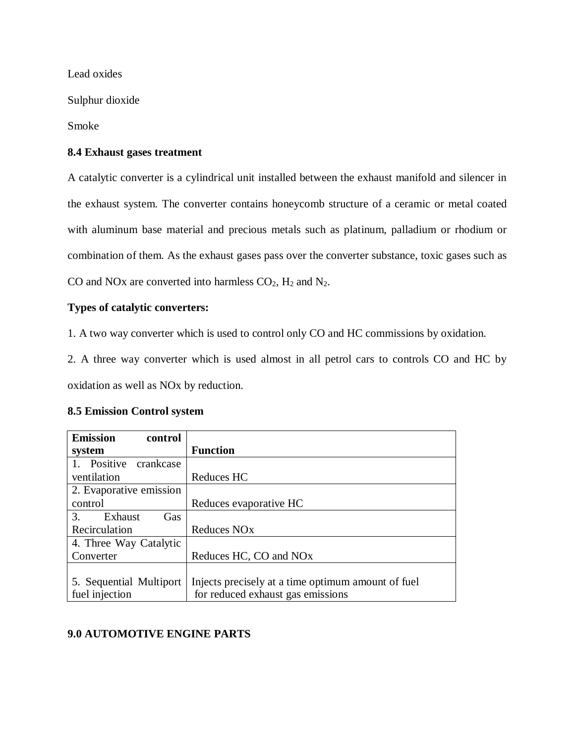Lead oxides

Sulphur dioxide

Smoke

# **8.4 Exhaust gases treatment**

A catalytic converter is a cylindrical unit installed between the exhaust manifold and silencer in the exhaust system. The converter contains honeycomb structure of a ceramic or metal coated with aluminum base material and precious metals such as platinum, palladium or rhodium or combination of them. As the exhaust gases pass over the converter substance, toxic gases such as CO and NOx are converted into harmless  $CO<sub>2</sub>$ ,  $H<sub>2</sub>$  and  $N<sub>2</sub>$ .

# **Types of catalytic converters:**

1. A two way converter which is used to control only CO and HC commissions by oxidation.

2. A three way converter which is used almost in all petrol cars to controls CO and HC by oxidation as well as NOx by reduction.

|  | <b>8.5 Emission Control system</b> |  |  |
|--|------------------------------------|--|--|
|--|------------------------------------|--|--|

| <b>Emission</b><br>control |                                                    |
|----------------------------|----------------------------------------------------|
| system                     | <b>Function</b>                                    |
| Positive crankcase         |                                                    |
| ventilation                | Reduces HC                                         |
| 2. Evaporative emission    |                                                    |
| control                    | Reduces evaporative HC                             |
| 3.<br>Exhaust<br>Gas       |                                                    |
| Recirculation              | Reduces NO <sub>x</sub>                            |
| 4. Three Way Catalytic     |                                                    |
| Converter                  | Reduces HC, CO and NO <sub>x</sub>                 |
|                            |                                                    |
| 5. Sequential Multiport    | Injects precisely at a time optimum amount of fuel |
| fuel injection             | for reduced exhaust gas emissions                  |

# **9.0 AUTOMOTIVE ENGINE PARTS**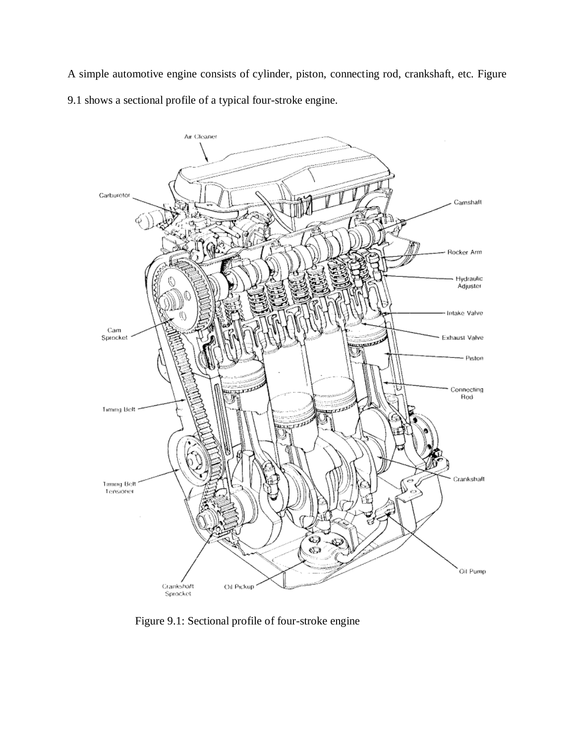A simple automotive engine consists of cylinder, piston, connecting rod, crankshaft, etc. Figure 9.1 shows a sectional profile of a typical four-stroke engine.



Figure 9.1: Sectional profile of four-stroke engine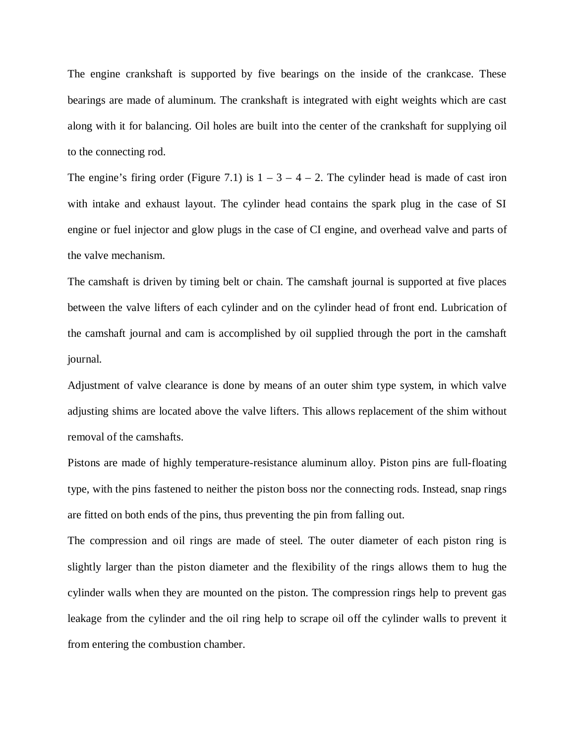The engine crankshaft is supported by five bearings on the inside of the crankcase. These bearings are made of aluminum. The crankshaft is integrated with eight weights which are cast along with it for balancing. Oil holes are built into the center of the crankshaft for supplying oil to the connecting rod.

The engine's firing order (Figure 7.1) is  $1 - 3 - 4 - 2$ . The cylinder head is made of cast iron with intake and exhaust layout. The cylinder head contains the spark plug in the case of SI engine or fuel injector and glow plugs in the case of CI engine, and overhead valve and parts of the valve mechanism.

The camshaft is driven by timing belt or chain. The camshaft journal is supported at five places between the valve lifters of each cylinder and on the cylinder head of front end. Lubrication of the camshaft journal and cam is accomplished by oil supplied through the port in the camshaft journal.

Adjustment of valve clearance is done by means of an outer shim type system, in which valve adjusting shims are located above the valve lifters. This allows replacement of the shim without removal of the camshafts.

Pistons are made of highly temperature-resistance aluminum alloy. Piston pins are full-floating type, with the pins fastened to neither the piston boss nor the connecting rods. Instead, snap rings are fitted on both ends of the pins, thus preventing the pin from falling out.

The compression and oil rings are made of steel. The outer diameter of each piston ring is slightly larger than the piston diameter and the flexibility of the rings allows them to hug the cylinder walls when they are mounted on the piston. The compression rings help to prevent gas leakage from the cylinder and the oil ring help to scrape oil off the cylinder walls to prevent it from entering the combustion chamber.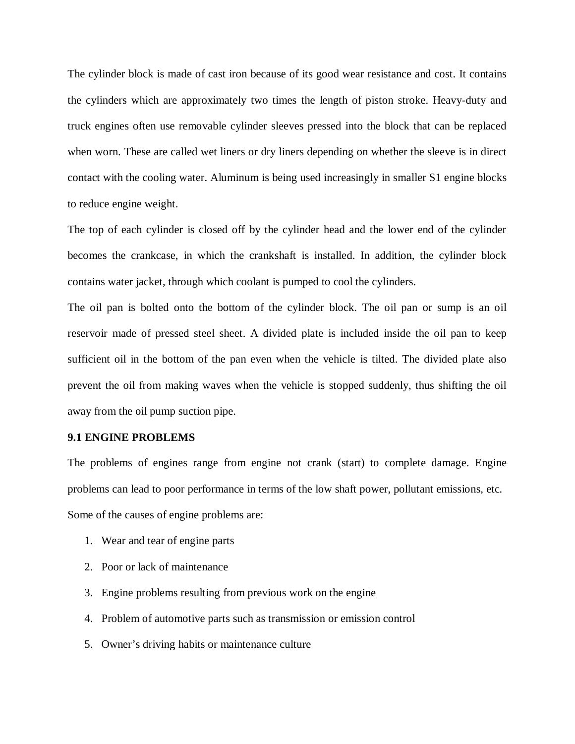The cylinder block is made of cast iron because of its good wear resistance and cost. It contains the cylinders which are approximately two times the length of piston stroke. Heavy-duty and truck engines often use removable cylinder sleeves pressed into the block that can be replaced when worn. These are called wet liners or dry liners depending on whether the sleeve is in direct contact with the cooling water. Aluminum is being used increasingly in smaller S1 engine blocks to reduce engine weight.

The top of each cylinder is closed off by the cylinder head and the lower end of the cylinder becomes the crankcase, in which the crankshaft is installed. In addition, the cylinder block contains water jacket, through which coolant is pumped to cool the cylinders.

The oil pan is bolted onto the bottom of the cylinder block. The oil pan or sump is an oil reservoir made of pressed steel sheet. A divided plate is included inside the oil pan to keep sufficient oil in the bottom of the pan even when the vehicle is tilted. The divided plate also prevent the oil from making waves when the vehicle is stopped suddenly, thus shifting the oil away from the oil pump suction pipe.

#### **9.1 ENGINE PROBLEMS**

The problems of engines range from engine not crank (start) to complete damage. Engine problems can lead to poor performance in terms of the low shaft power, pollutant emissions, etc. Some of the causes of engine problems are:

- 1. Wear and tear of engine parts
- 2. Poor or lack of maintenance
- 3. Engine problems resulting from previous work on the engine
- 4. Problem of automotive parts such as transmission or emission control
- 5. Owner's driving habits or maintenance culture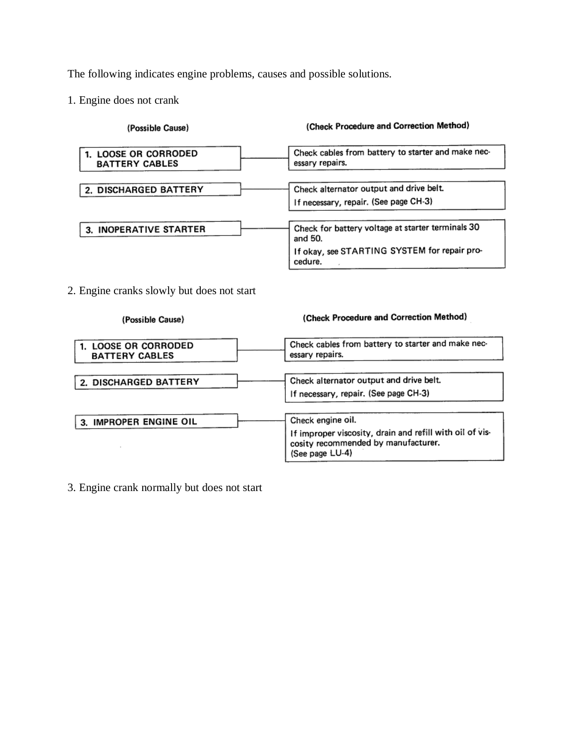The following indicates engine problems, causes and possible solutions.

1. Engine does not crank

| (Check Procedure and Correction Method)                                          |
|----------------------------------------------------------------------------------|
| Check cables from battery to starter and make nec-<br>essary repairs.            |
| Check alternator output and drive belt.<br>If necessary, repair. (See page CH-3) |
| Check for battery voltage at starter terminals 30<br>and 50.                     |
| If okay, see STARTING SYSTEM for repair pro-<br>cedure.                          |
|                                                                                  |

2. Engine cranks slowly but does not start

(Check Procedure and Correction Method) (Possible Cause) Check cables from battery to starter and make nec-1. LOOSE OR CORRODED essary repairs. **BATTERY CABLES** Check alternator output and drive belt. 2. DISCHARGED BATTERY If necessary, repair. (See page CH-3) Check engine oil. 3. IMPROPER ENGINE OIL If improper viscosity, drain and refill with oil of viscosity recommended by manufacturer.  $\cdot$ (See page LU-4)

3. Engine crank normally but does not start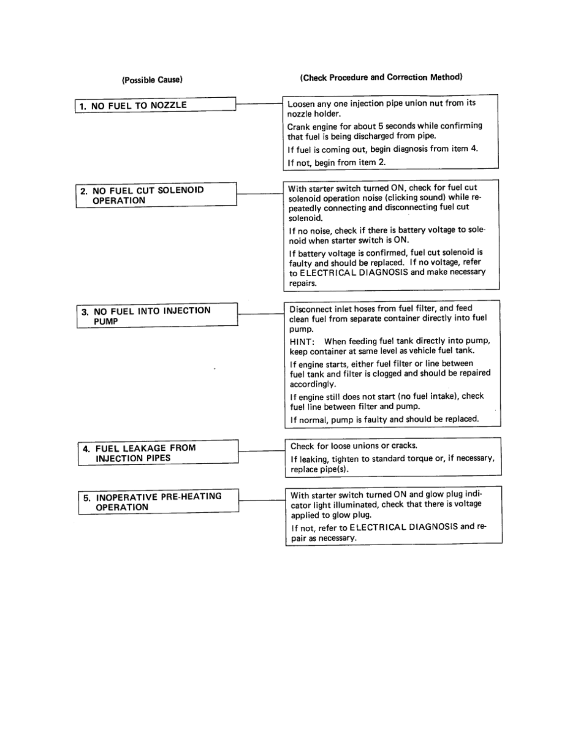| (Possible Cause)                            | (Check Procedure and Correction Method)                                                                                                                                 |
|---------------------------------------------|-------------------------------------------------------------------------------------------------------------------------------------------------------------------------|
| 1. NO FUEL TO NOZZLE                        | Loosen any one injection pipe union nut from its<br>nozzle holder.                                                                                                      |
|                                             | Crank engine for about 5 seconds while confirming<br>that fuel is being discharged from pipe.                                                                           |
|                                             | If fuel is coming out, begin diagnosis from item 4.                                                                                                                     |
|                                             | If not, begin from item 2.                                                                                                                                              |
| 2. NO FUEL CUT SOLENOID<br><b>OPERATION</b> | With starter switch turned ON, check for fuel cut<br>solenoid operation noise (clicking sound) while re-<br>peatedly connecting and disconnecting fuel cut<br>solenoid. |
|                                             | If no noise, check if there is battery voltage to sole-<br>noid when starter switch is ON.                                                                              |
|                                             | If battery voltage is confirmed, fuel cut solenoid is<br>faulty and should be replaced. If no voltage, refer<br>to ELECTRICAL DIAGNOSIS and make necessary<br>repairs.  |
| 3. NO FUEL INTO INJECTION<br><b>PUMP</b>    | Disconnect inlet hoses from fuel filter, and feed<br>clean fuel from separate container directly into fuel<br>pump.                                                     |
|                                             | HINT: When feeding fuel tank directly into pump,<br>keep container at same level as vehicle fuel tank.                                                                  |
|                                             | If engine starts, either fuel filter or line between<br>fuel tank and filter is clogged and should be repaired<br>accordingly.                                          |
|                                             | If engine still does not start (no fuel intake), check<br>fuel line between filter and pump.                                                                            |
|                                             | If normal, pump is faulty and should be replaced.                                                                                                                       |
| 4. FUEL LEAKAGE FROM                        | Check for loose unions or cracks.                                                                                                                                       |
| <b>INJECTION PIPES</b>                      | If leaking, tighten to standard torque or, if necessary,<br>replace pipe(s).                                                                                            |
| 5. INOPERATIVE PRE-HEATING<br>OPERATION     | With starter switch turned ON and glow plug indi-<br>cator light illuminated, check that there is voltage<br>applied to glow plug.                                      |
|                                             | If not, refer to ELECTRICAL DIAGNOSIS and re-<br>pair as necessary.                                                                                                     |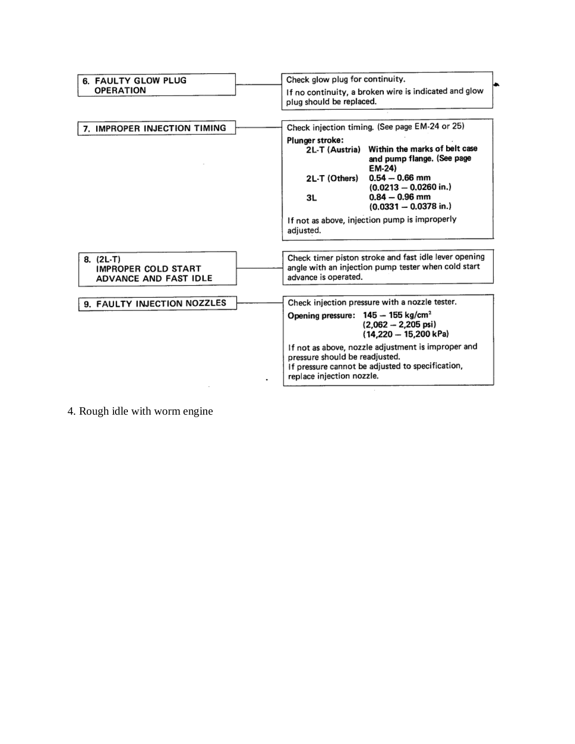

4. Rough idle with worm engine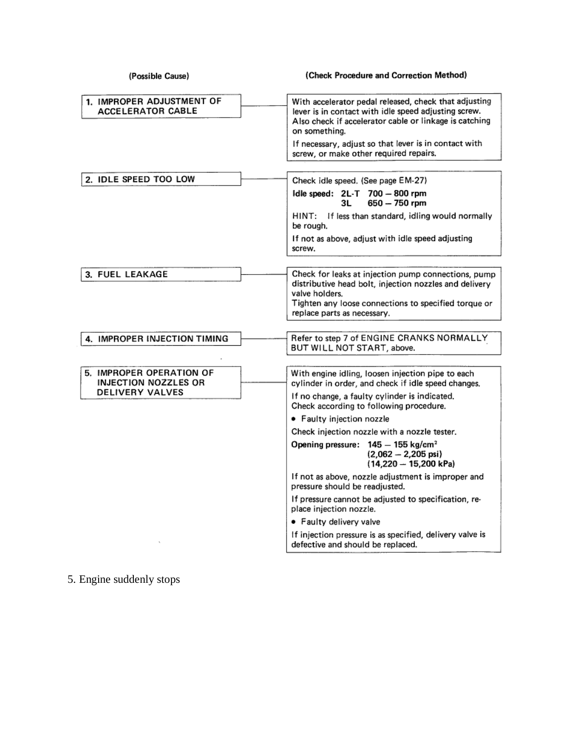| (Possible Cause)                                        | (Check Procedure and Correction Method)                                                                                                                                                                                |
|---------------------------------------------------------|------------------------------------------------------------------------------------------------------------------------------------------------------------------------------------------------------------------------|
| 1. IMPROPER ADJUSTMENT OF<br><b>ACCELERATOR CABLE</b>   | With accelerator pedal released, check that adjusting<br>lever is in contact with idle speed adjusting screw.<br>Also check if accelerator cable or linkage is catching<br>on something.                               |
|                                                         | If necessary, adjust so that lever is in contact with<br>screw, or make other required repairs.                                                                                                                        |
| 2. IDLE SPEED TOO LOW                                   | Check idle speed. (See page EM-27)                                                                                                                                                                                     |
|                                                         | Idle speed: $2L-T$ 700 $-800$ rpm<br>$650 - 750$ rpm<br>ЗL                                                                                                                                                             |
|                                                         | If less than standard, idling would normally<br>HINT:<br>be rough.                                                                                                                                                     |
|                                                         | If not as above, adjust with idle speed adjusting<br>screw.                                                                                                                                                            |
| 3. FUEL LEAKAGE                                         | Check for leaks at injection pump connections, pump<br>distributive head bolt, injection nozzles and delivery<br>valve holders.<br>Tighten any loose connections to specified torque or<br>replace parts as necessary. |
| 4. IMPROPER INJECTION TIMING                            | Refer to step 7 of ENGINE CRANKS NORMALLY<br>BUT WILL NOT START, above.                                                                                                                                                |
| 5. IMPROPER OPERATION OF<br><b>INJECTION NOZZLES OR</b> | With engine idling, loosen injection pipe to each<br>cylinder in order, and check if idle speed changes.                                                                                                               |
| DELIVERY VALVES                                         | If no change, a faulty cylinder is indicated.<br>Check according to following procedure.                                                                                                                               |
|                                                         | • Faulty injection nozzle                                                                                                                                                                                              |
|                                                         | Check injection nozzle with a nozzle tester.                                                                                                                                                                           |
|                                                         | Opening pressure: 145 - 155 kg/cm <sup>2</sup><br>$(2,062 - 2,205 \,\text{psi})$<br>$(14,220 - 15,200 kPa)$                                                                                                            |
|                                                         | If not as above, nozzle adjustment is improper and<br>pressure should be readjusted.                                                                                                                                   |
|                                                         | If pressure cannot be adjusted to specification, re-<br>place injection nozzle.                                                                                                                                        |
|                                                         | • Faulty delivery valve                                                                                                                                                                                                |
|                                                         | If injection pressure is as specified, delivery valve is<br>defective and should be replaced.                                                                                                                          |

# 5. Engine suddenly stops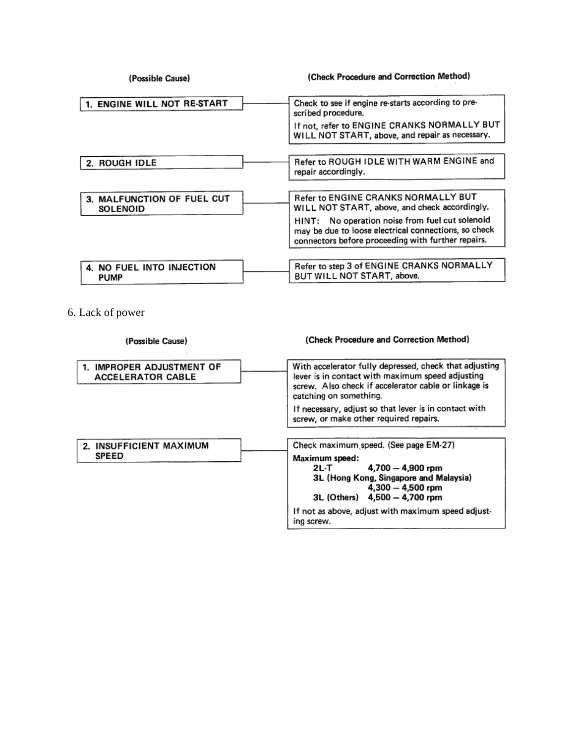| (Possible Cause)                              | (Check Procedure and Correction Method)                                                                                                                                    |
|-----------------------------------------------|----------------------------------------------------------------------------------------------------------------------------------------------------------------------------|
| <b>ENGINE WILL NOT RE-START</b>               | Check to see if engine re-starts according to pre-<br>scribed procedure.<br>If not, refer to ENGINE CRANKS NORMALLY BUT<br>WILL NOT START, above, and repair as necessary. |
|                                               |                                                                                                                                                                            |
| 2. ROUGH IDLE                                 | Refer to ROUGH IDLE WITH WARM ENGINE and<br>repair accordingly.                                                                                                            |
|                                               |                                                                                                                                                                            |
| 3. MALFUNCTION OF FUEL CUT<br><b>SOLENOID</b> | Refer to ENGINE CRANKS NORMALLY BUT<br>WILL NOT START, above, and check accordingly.                                                                                       |
|                                               | No operation noise from fuel cut solenoid<br>HINT:<br>may be due to loose electrical connections, so check<br>connectors before proceeding with further repairs.           |
|                                               |                                                                                                                                                                            |
| NO FUEL INTO INJECTION<br><b>PUMP</b>         | Refer to step 3 of ENGINE CRANKS NORMALLY<br>BUT WILL NOT START, above.                                                                                                    |

6. Lack of power

| (Possible Cause)                                      | (Check Procedure and Correction Method)                                                                                                                                                      |
|-------------------------------------------------------|----------------------------------------------------------------------------------------------------------------------------------------------------------------------------------------------|
| 1. IMPROPER ADJUSTMENT OF<br><b>ACCELERATOR CABLE</b> | With accelerator fully depressed, check that adjusting<br>lever is in contact with maximum speed adjusting<br>screw. Also check if accelerator cable or linkage is<br>catching on something. |
|                                                       | If necessary, adjust so that lever is in contact with<br>screw, or make other required repairs.                                                                                              |
| 2. INSUFFICIENT MAXIMUM                               | Check maximum speed. (See page EM-27)                                                                                                                                                        |
| <b>SPEED</b>                                          | Maximum speed:<br>$4,700 - 4,900$ rpm<br>2L-T<br>3L (Hong Kong, Singapore and Malaysia)<br>$4,300 - 4,500$ rpm<br>3L (Others) 4,500 - 4,700 rpm                                              |
|                                                       | If not as above, adjust with maximum speed adjust-<br>ing screw.                                                                                                                             |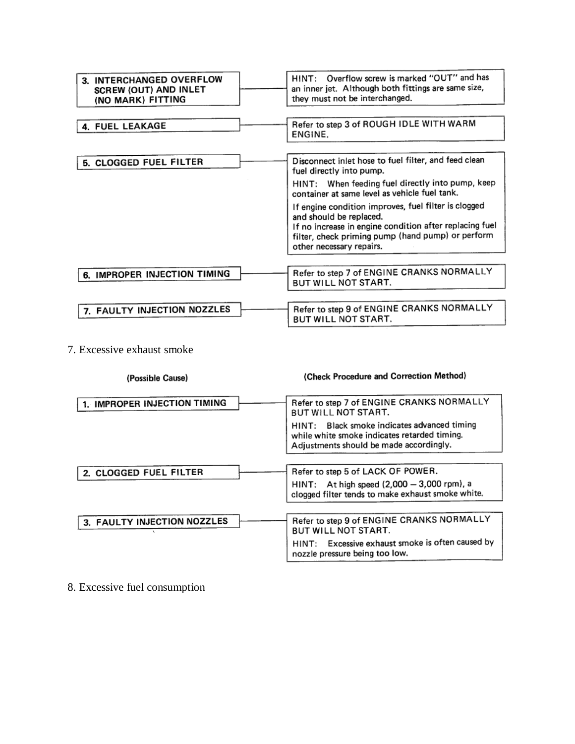| 3. INTERCHANGED OVERFLOW<br>SCREW (OUT) AND INLET<br>(NO MARK) FITTING | HINT: Overflow screw is marked "OUT" and has<br>an inner jet. Although both fittings are same size,<br>they must not be interchanged.                                                                                       |
|------------------------------------------------------------------------|-----------------------------------------------------------------------------------------------------------------------------------------------------------------------------------------------------------------------------|
| 4. FUEL LEAKAGE                                                        | Refer to step 3 of ROUGH IDLE WITH WARM<br>ENGINE.                                                                                                                                                                          |
| 5. CLOGGED FUEL FILTER                                                 | Disconnect inlet hose to fuel filter, and feed clean<br>fuel directly into pump.                                                                                                                                            |
|                                                                        | HINT: When feeding fuel directly into pump, keep<br>container at same level as vehicle fuel tank.                                                                                                                           |
|                                                                        | If engine condition improves, fuel filter is clogged<br>and should be replaced.<br>If no increase in engine condition after replacing fuel<br>filter, check priming pump (hand pump) or perform<br>other necessary repairs. |
|                                                                        |                                                                                                                                                                                                                             |
| 6. IMPROPER INJECTION TIMING                                           | Refer to step 7 of ENGINE CRANKS NORMALLY<br>BUT WILL NOT START.                                                                                                                                                            |
|                                                                        |                                                                                                                                                                                                                             |
| 7. FAULTY INJECTION NOZZLES                                            | Refer to step 9 of ENGINE CRANKS NORMALLY<br><b>BUT WILL NOT START.</b>                                                                                                                                                     |

7. Excessive exhaust smoke

| (Possible Cause)             | (Check Procedure and Correction Method)                                                                                                   |
|------------------------------|-------------------------------------------------------------------------------------------------------------------------------------------|
| 1. IMPROPER INJECTION TIMING | Refer to step 7 of ENGINE CRANKS NORMALLY<br>BUT WILL NOT START.                                                                          |
|                              | Black smoke indicates advanced timing<br>HINT:<br>while white smoke indicates retarded timing.<br>Adjustments should be made accordingly. |
|                              |                                                                                                                                           |
| 2. CLOGGED FUEL FILTER       | Refer to step 5 of LACK OF POWER.                                                                                                         |
|                              | HINT: At high speed $(2,000 - 3,000$ rpm), a<br>clogged filter tends to make exhaust smoke white.                                         |
|                              |                                                                                                                                           |
| 3. FAULTY INJECTION NOZZLES  | Refer to step 9 of ENGINE CRANKS NORMALLY<br>BUT WILL NOT START.                                                                          |
|                              | HINT: Excessive exhaust smoke is often caused by<br>nozzle pressure being too low.                                                        |
|                              |                                                                                                                                           |

8. Excessive fuel consumption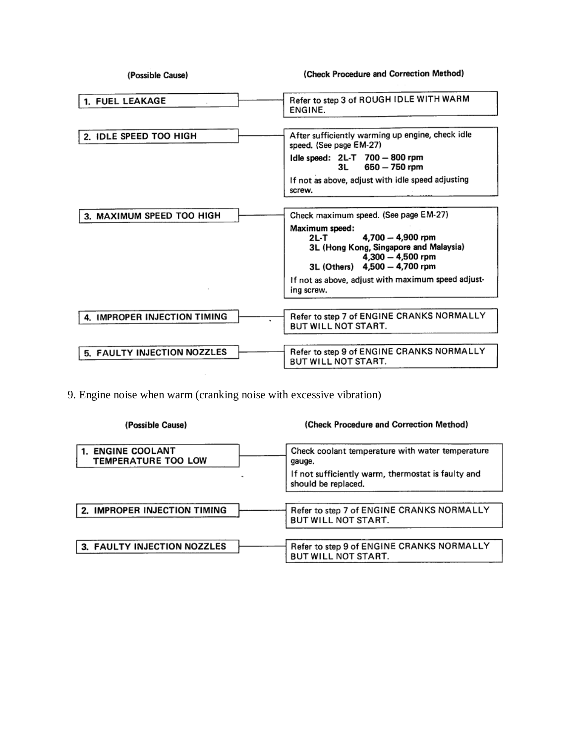| (Possible Cause)             | (Check Procedure and Correction Method)                                                                                                                                                                                                                    |
|------------------------------|------------------------------------------------------------------------------------------------------------------------------------------------------------------------------------------------------------------------------------------------------------|
| 1. FUEL LEAKAGE              | Refer to step 3 of ROUGH IDLE WITH WARM<br>ENGINE.                                                                                                                                                                                                         |
| 2. IDLE SPEED TOO HIGH       | After sufficiently warming up engine, check idle<br>speed. (See page EM-27)                                                                                                                                                                                |
|                              | Idle speed: 2L-T 700 - 800 rpm<br>$650 - 750$ rpm                                                                                                                                                                                                          |
|                              | If not as above, adjust with idle speed adjusting<br>screw.                                                                                                                                                                                                |
| 3. MAXIMUM SPEED TOO HIGH    | Check maximum speed. (See page EM-27)<br>Maximum speed:<br>4,700 - 4,900 rpm<br>2L-T<br>3L (Hong Kong, Singapore and Malaysia)<br>$4,300 - 4,500$ rpm<br>3L (Others) 4,500 - 4,700 rpm<br>If not as above, adjust with maximum speed adjust-<br>ing screw. |
| 4. IMPROPER INJECTION TIMING | Refer to step 7 of ENGINE CRANKS NORMALLY<br>BUT WILL NOT START.                                                                                                                                                                                           |
| 5. FAULTY INJECTION NOZZLES  | Refer to step 9 of ENGINE CRANKS NORMALLY<br><b>BUT WILL NOT START.</b>                                                                                                                                                                                    |

9. Engine noise when warm (cranking noise with excessive vibration)

| (Possible Cause)                         | (Check Procedure and Correction Method)                                   |
|------------------------------------------|---------------------------------------------------------------------------|
| 1. ENGINE COOLANT<br>TEMPERATURE TOO LOW | Check coolant temperature with water temperature<br>gauge.                |
|                                          | If not sufficiently warm, thermostat is faulty and<br>should be replaced. |
|                                          |                                                                           |
| 2. IMPROPER INJECTION TIMING             | Refer to step 7 of ENGINE CRANKS NORMALLY<br>BUT WILL NOT START.          |
|                                          |                                                                           |
| 3. FAULTY INJECTION NOZZLES              | Refer to step 9 of ENGINE CRANKS NORMALLY<br>BUT WILL NOT START.          |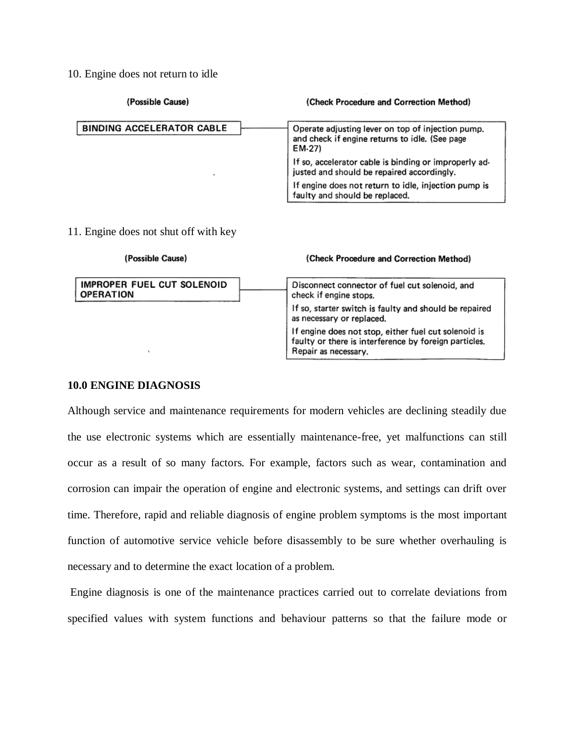10. Engine does not return to idle

| (Possible Cause)                 | (Check Procedure and Correction Method)                                                                       |
|----------------------------------|---------------------------------------------------------------------------------------------------------------|
| <b>BINDING ACCELERATOR CABLE</b> | Operate adjusting lever on top of injection pump.<br>and check if engine returns to idle. (See page<br>EM-27) |
| ۰                                | If so, accelerator cable is binding or improperly ad-<br>justed and should be repaired accordingly.           |
|                                  | If engine does not return to idle, injection pump is<br>faulty and should be replaced.                        |

#### 11. Engine does not shut off with key

| (Possible Cause)                               | (Check Procedure and Correction Method)                                                                                               |
|------------------------------------------------|---------------------------------------------------------------------------------------------------------------------------------------|
| IMPROPER FUEL CUT SOLENOID<br><b>OPERATION</b> | Disconnect connector of fuel cut solenoid, and<br>check if engine stops.                                                              |
|                                                | If so, starter switch is faulty and should be repaired<br>as necessary or replaced.                                                   |
|                                                | If engine does not stop, either fuel cut solenoid is<br>faulty or there is interference by foreign particles.<br>Repair as necessary. |

## **10.0 ENGINE DIAGNOSIS**

Although service and maintenance requirements for modern vehicles are declining steadily due the use electronic systems which are essentially maintenance-free, yet malfunctions can still occur as a result of so many factors. For example, factors such as wear, contamination and corrosion can impair the operation of engine and electronic systems, and settings can drift over time. Therefore, rapid and reliable diagnosis of engine problem symptoms is the most important function of automotive service vehicle before disassembly to be sure whether overhauling is necessary and to determine the exact location of a problem.

Engine diagnosis is one of the maintenance practices carried out to correlate deviations from specified values with system functions and behaviour patterns so that the failure mode or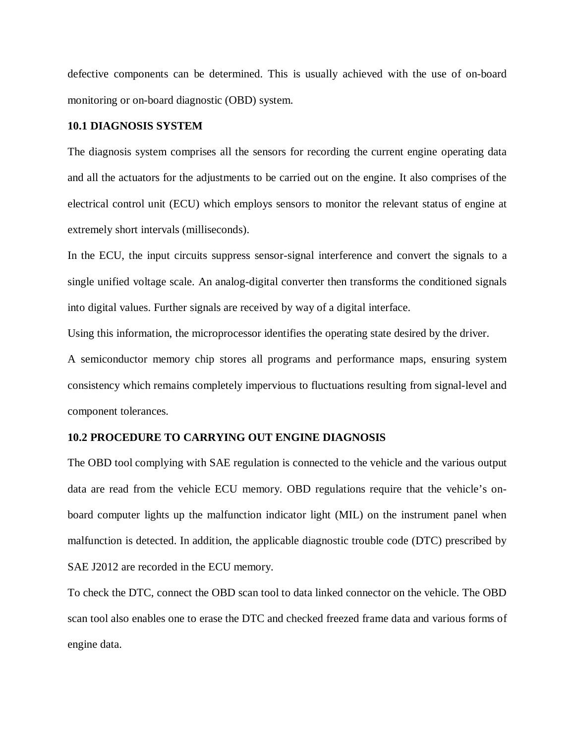defective components can be determined. This is usually achieved with the use of on-board monitoring or on-board diagnostic (OBD) system.

## **10.1 DIAGNOSIS SYSTEM**

The diagnosis system comprises all the sensors for recording the current engine operating data and all the actuators for the adjustments to be carried out on the engine. It also comprises of the electrical control unit (ECU) which employs sensors to monitor the relevant status of engine at extremely short intervals (milliseconds).

In the ECU, the input circuits suppress sensor-signal interference and convert the signals to a single unified voltage scale. An analog-digital converter then transforms the conditioned signals into digital values. Further signals are received by way of a digital interface.

Using this information, the microprocessor identifies the operating state desired by the driver.

A semiconductor memory chip stores all programs and performance maps, ensuring system consistency which remains completely impervious to fluctuations resulting from signal-level and component tolerances.

## **10.2 PROCEDURE TO CARRYING OUT ENGINE DIAGNOSIS**

The OBD tool complying with SAE regulation is connected to the vehicle and the various output data are read from the vehicle ECU memory. OBD regulations require that the vehicle's onboard computer lights up the malfunction indicator light (MIL) on the instrument panel when malfunction is detected. In addition, the applicable diagnostic trouble code (DTC) prescribed by SAE J2012 are recorded in the ECU memory.

To check the DTC, connect the OBD scan tool to data linked connector on the vehicle. The OBD scan tool also enables one to erase the DTC and checked freezed frame data and various forms of engine data.